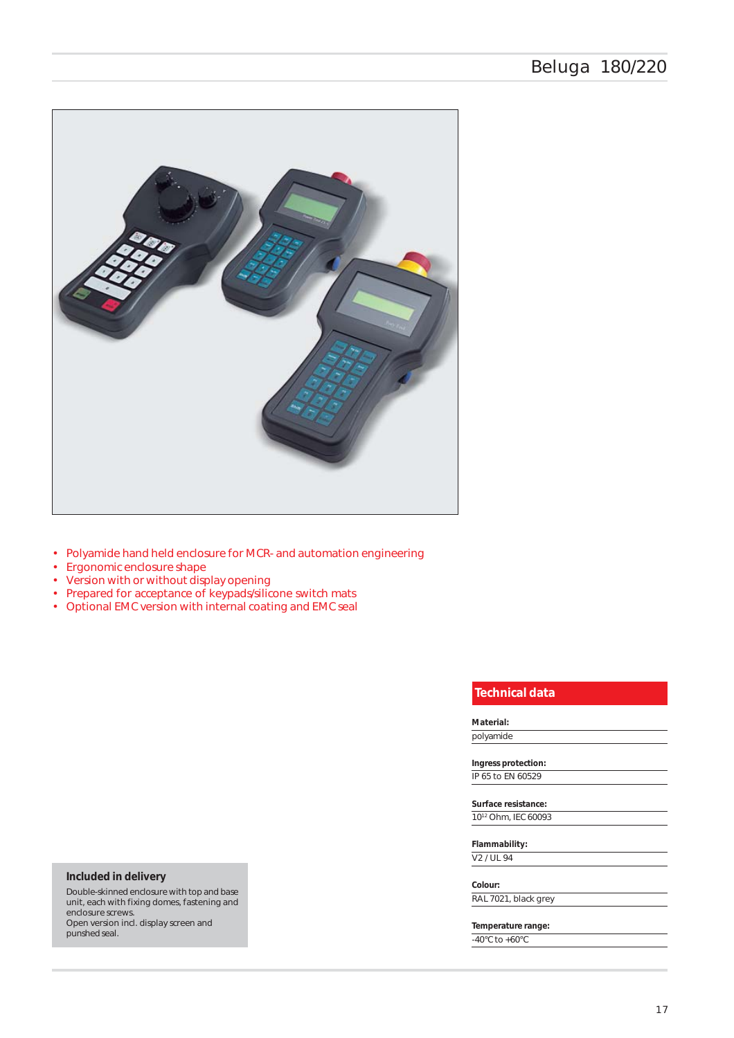

- Polyamide hand held enclosure for MCR- and automation engineering
- Ergonomic enclosure shape
- Version with or without display opening
- Prepared for acceptance of keypads/silicone switch mats
- Optional EMC version with internal coating and EMC seal

# *Technical data*

### *Material:*

polyamide

# *Ingress protection:*

IP 65 to EN 60529 *Surface resistance:*

1012 Ohm, IEC 60093

*Flammability:* V2 / UL 94

### *Colour:*

RAL 7021, black grey

*Temperature range:* -40°C to +60°C

## *Included in delivery*

Double-skinned enclosure with top and base unit, each with fixing domes, fastening and enclosure screws. Open version incl. display screen and punshed seal.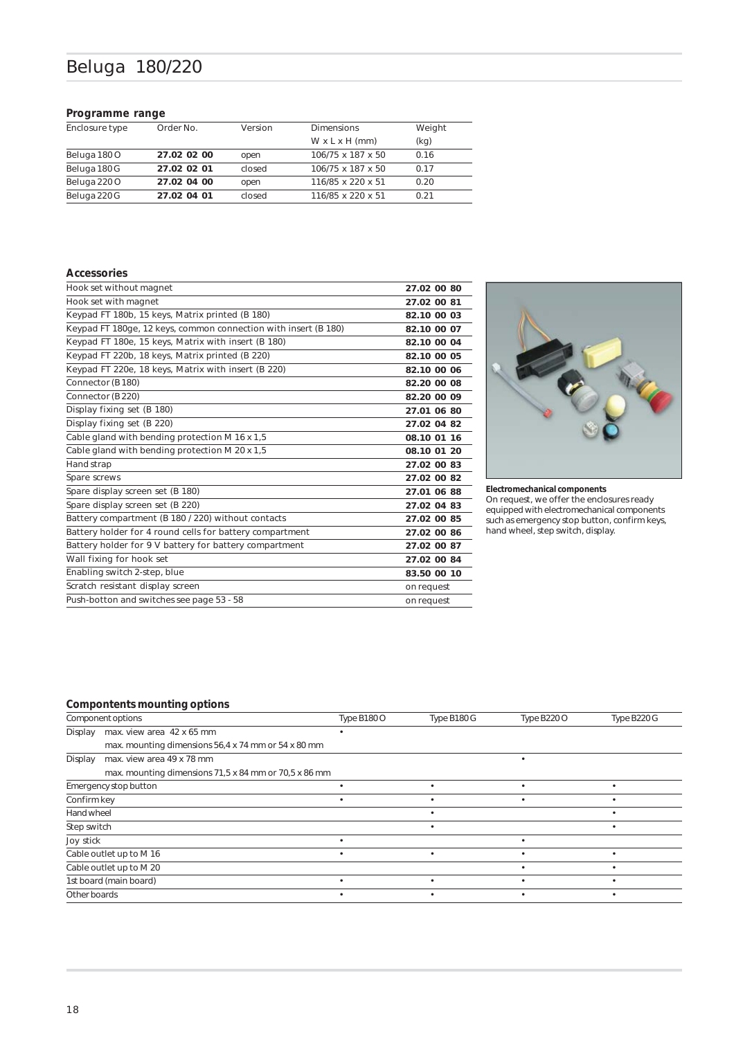# Beluga 180/220

## *Programme range*

| Enclosure type | Order No.   | <b>Dimensions</b><br>Version |                            | Weight |
|----------------|-------------|------------------------------|----------------------------|--------|
|                |             |                              | $W \times L \times H$ (mm) | (kq)   |
| Beluga 180 O   | 27.02 02 00 | open                         | 106/75 x 187 x 50          | 0.16   |
| Beluga 180 G   | 27.02 02 01 | closed                       | 106/75 x 187 x 50          | 0.17   |
| Beluga 220 O   | 27.02 04 00 | open                         | 116/85 x 220 x 51          | 0.20   |
| Beluga 220 G   | 27.02 04 01 | closed                       | 116/85 x 220 x 51          | O 21   |

#### *Accessories*

| Hook set without magnet                                         | 27.02 00 80 |
|-----------------------------------------------------------------|-------------|
| Hook set with magnet                                            | 27.02 00 81 |
| Keypad FT 180b, 15 keys, Matrix printed (B 180)                 | 82.10 00 03 |
| Keypad FT 180ge, 12 keys, common connection with insert (B 180) | 82.10 00 07 |
| Keypad FT 180e, 15 keys, Matrix with insert (B 180)             | 82.10 00 04 |
| Keypad FT 220b, 18 keys, Matrix printed (B 220)                 | 82.10 00 05 |
| Keypad FT 220e, 18 keys, Matrix with insert (B 220)             | 82.10 00 06 |
| Connector (B180)                                                | 82.20 00 08 |
| Connector (B 220)                                               | 82.20 00 09 |
| Display fixing set (B 180)                                      | 27.01 06 80 |
| Display fixing set (B 220)                                      | 27.02 04 82 |
| Cable gland with bending protection M 16 x 1,5                  | 08.10 01 16 |
| Cable gland with bending protection M 20 x 1,5                  | 08.10 01 20 |
| Hand strap                                                      | 27.02 00 83 |
| Spare screws                                                    | 27.02 00 82 |
| Spare display screen set (B 180)                                | 27.01 06 88 |
| Spare display screen set (B 220)                                | 27.02 04 83 |
| Battery compartment (B 180 / 220) without contacts              | 27.02 00 85 |
| Battery holder for 4 round cells for battery compartment        | 27.02 00 86 |
| Battery holder for 9 V battery for battery compartment          | 27.02 00 87 |
| Wall fixing for hook set                                        | 27.02 00 84 |
| Enabling switch 2-step, blue                                    | 83.50 00 10 |
| Scratch resistant display screen                                | on request  |
| Push-botton and switches see page 53 - 58                       | on request  |



### *Electromechanical components*

On request, we offer the enclosures ready equipped with electromechanical components such as emergency stop button, confirm keys, hand wheel, step switch, display.

## *Compontents mounting options*

| Component options |                                                       | Type B180 O | Type B180 G | Type B220 O | Type B220 G |
|-------------------|-------------------------------------------------------|-------------|-------------|-------------|-------------|
| Display           | max. view area 42 x 65 mm                             |             |             |             |             |
|                   | max. mounting dimensions 56,4 x 74 mm or 54 x 80 mm   |             |             |             |             |
| Display           | max. view area 49 x 78 mm                             |             |             |             |             |
|                   | max. mounting dimensions 71,5 x 84 mm or 70,5 x 86 mm |             |             |             |             |
|                   | Emergency stop button                                 |             |             |             |             |
| Confirm key       |                                                       |             |             |             |             |
| Hand wheel        |                                                       |             |             |             |             |
| Step switch       |                                                       |             |             |             |             |
| Joy stick         |                                                       |             |             |             |             |
|                   | Cable outlet up to M 16                               |             |             |             |             |
|                   | Cable outlet up to M 20                               |             |             |             |             |
|                   | 1st board (main board)                                |             |             |             |             |
| Other boards      |                                                       |             |             |             |             |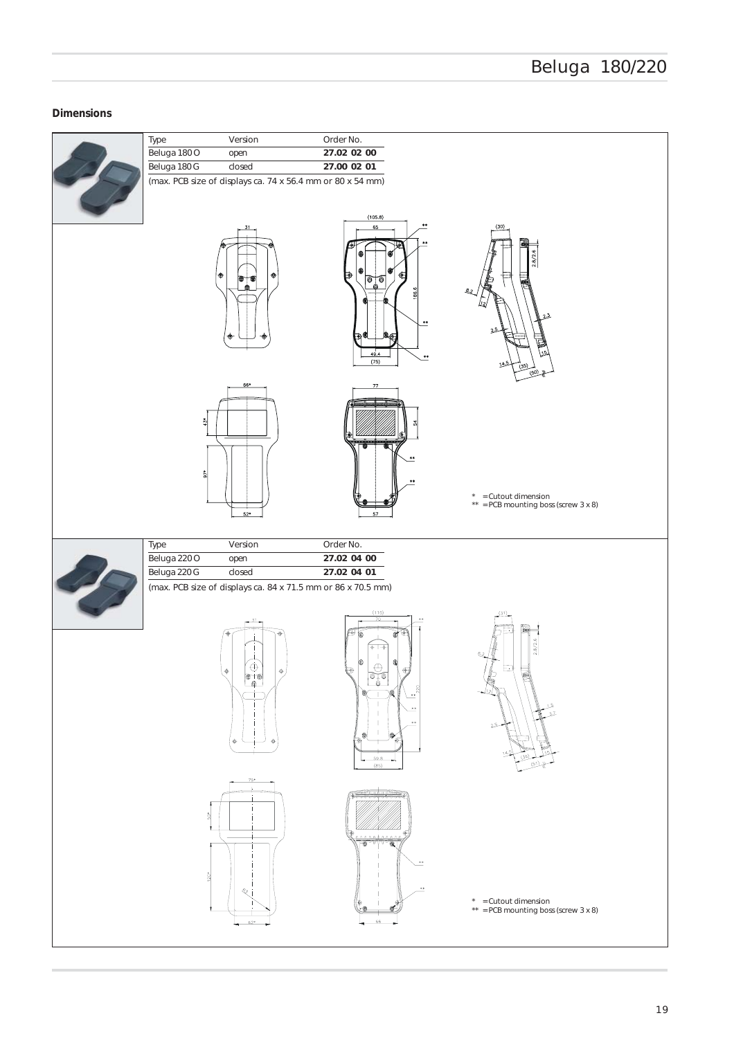# *Dimensions*

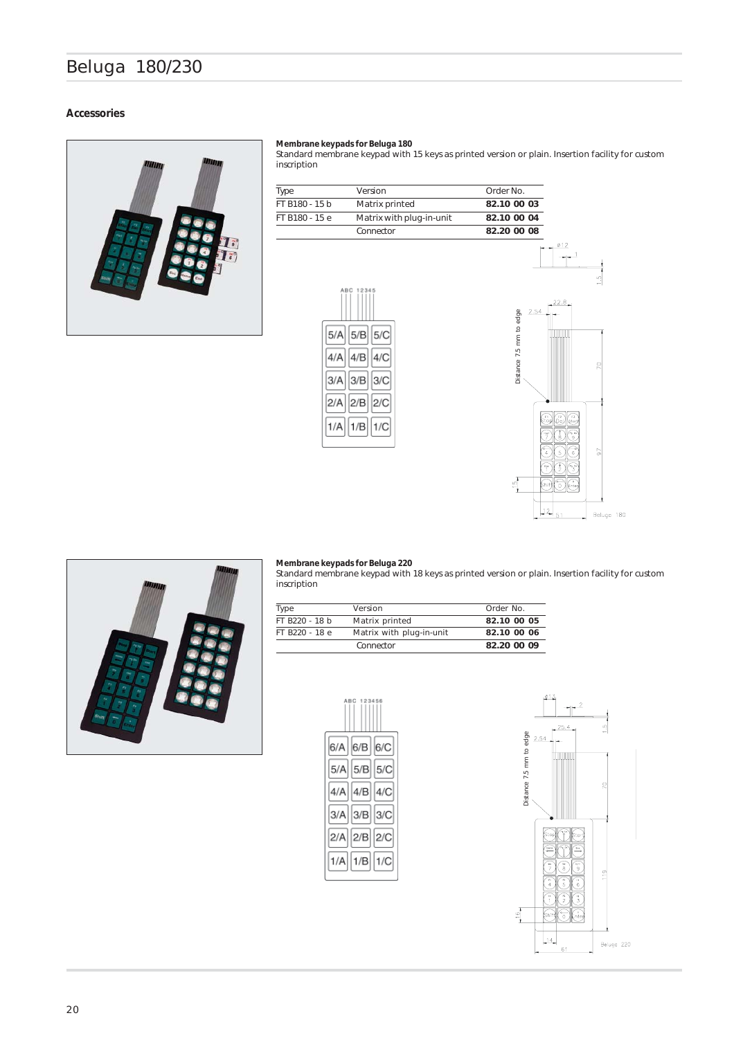# Beluga 180/230

## *Accessories*



#### *Membrane keypads for Beluga 180*

Standard membrane keypad with 15 keys as printed version or plain. Insertion facility for custom inscription

| Type           | Version                  | Order No.   |
|----------------|--------------------------|-------------|
| FT B180 - 15 b | Matrix printed           | 82.10 00 03 |
| FT B180 - 15 e | Matrix with plug-in-unit | 82.10 00 04 |
|                | Connector                | 82.20 00 08 |







### *Membrane keypads for Beluga 220*

Standard membrane keypad with 18 keys as printed version or plain. Insertion facility for custom inscription

| Type           | Version                  | Order No.   |
|----------------|--------------------------|-------------|
| FT B220 - 18 b | Matrix printed           | 82.10 00 05 |
| FT B220 - 18 e | Matrix with plug-in-unit | 82.10 00 06 |
|                | Connector                | 82.20 00 09 |



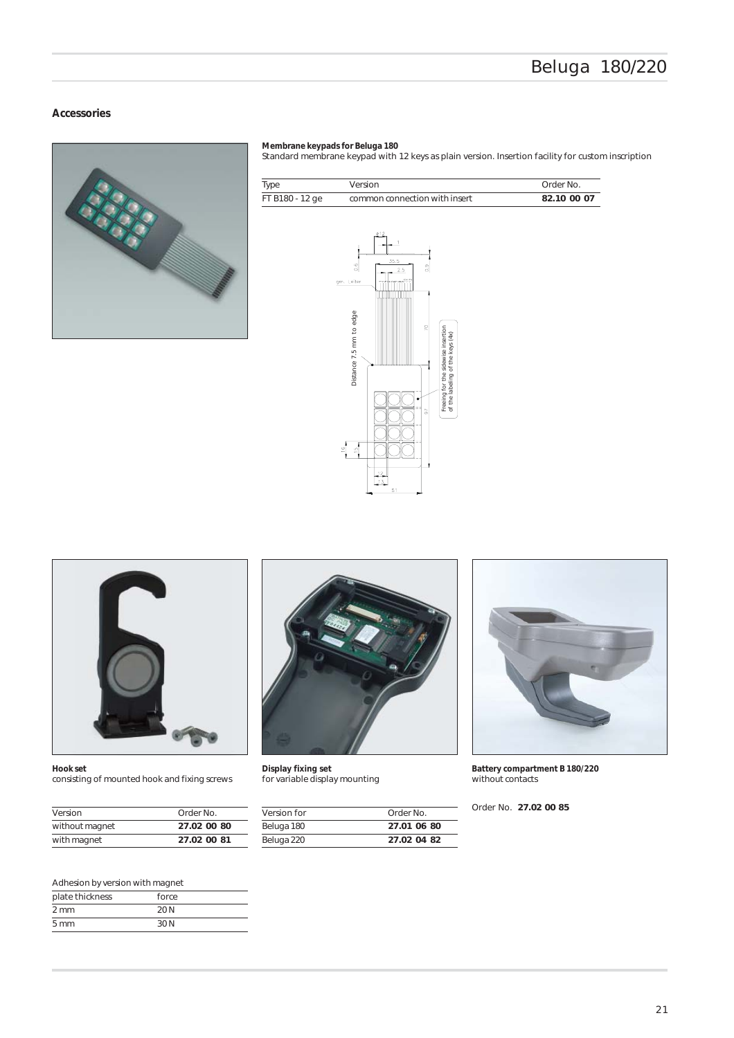## *Accessories*



#### *Membrane keypads for Beluga 180*

Standard membrane keypad with 12 keys as plain version. Insertion facility for custom inscription

| Type            | Version                                                                                                                                                                                                                     | Order No.   |
|-----------------|-----------------------------------------------------------------------------------------------------------------------------------------------------------------------------------------------------------------------------|-------------|
| FT B180 - 12 ge | common connection with insert                                                                                                                                                                                               | 82.10 00 07 |
|                 | ø12<br>35.5<br>$\frac{6}{10}$<br>3<br>2.5<br>gm. Leiter<br>Distance 7.5 mm to edge<br>$\mathcal{R}$<br>Freeing for the sidewise insertion<br>of the labeling of the keys (4x)<br>5<br>$\frac{16}{1}$<br>Ю<br>12<br>13<br>51 |             |



*Hook set* consisting of mounted hook and fixing screws

| Version        | Order No.   |
|----------------|-------------|
| without magnet | 27.02 00 80 |
| with magnet    | 27.02 00 81 |



*Display fixing set* for variable display mounting

| Version for | Order No    |  |
|-------------|-------------|--|
| Beluga 180  | 27.01.06.80 |  |
| Beluga 220  | 27.02.04.82 |  |



*Battery compartment B 180/220* without contacts

Order No. *27.02 00 85*

## Adhesion by version with magnet

| plate thickness | force |  |
|-----------------|-------|--|
| $2 \text{ mm}$  | 20 N  |  |
| $5 \text{ mm}$  | 30 N  |  |